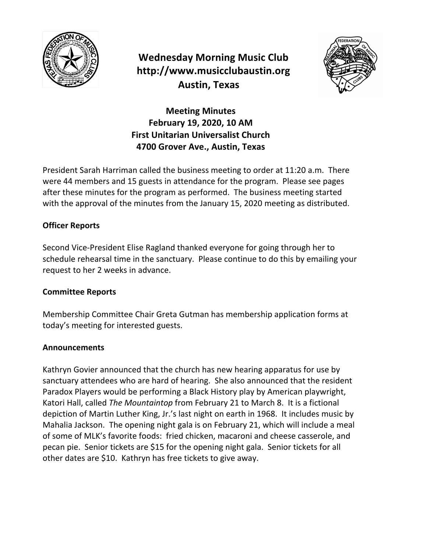

# **Wednesday Morning Music Club http://www.musicclubaustin.org Austin, Texas**



**Meeting Minutes February 19, 2020, 10 AM First Unitarian Universalist Church 4700 Grover Ave., Austin, Texas**

President Sarah Harriman called the business meeting to order at 11:20 a.m. There were 44 members and 15 guests in attendance for the program. Please see pages after these minutes for the program as performed. The business meeting started with the approval of the minutes from the January 15, 2020 meeting as distributed.

## **Officer Reports**

Second Vice-President Elise Ragland thanked everyone for going through her to schedule rehearsal time in the sanctuary. Please continue to do this by emailing your request to her 2 weeks in advance.

### **Committee Reports**

Membership Committee Chair Greta Gutman has membership application forms at today's meeting for interested guests.

### **Announcements**

Kathryn Govier announced that the church has new hearing apparatus for use by sanctuary attendees who are hard of hearing. She also announced that the resident Paradox Players would be performing a Black History play by American playwright, Katori Hall, called *The Mountaintop* from February 21 to March 8. It is a fictional depiction of Martin Luther King, Jr.'s last night on earth in 1968. It includes music by Mahalia Jackson. The opening night gala is on February 21, which will include a meal of some of MLK's favorite foods: fried chicken, macaroni and cheese casserole, and pecan pie. Senior tickets are \$15 for the opening night gala. Senior tickets for all other dates are \$10. Kathryn has free tickets to give away.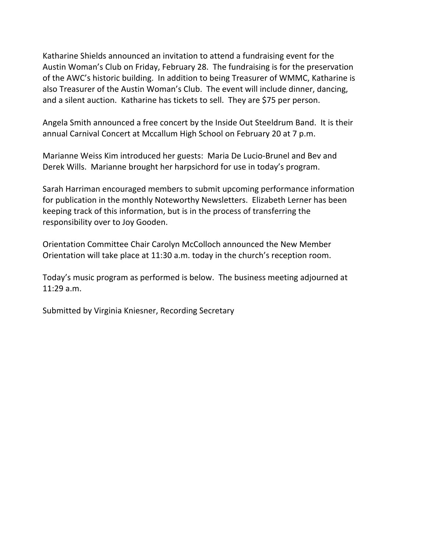Katharine Shields announced an invitation to attend a fundraising event for the Austin Woman's Club on Friday, February 28. The fundraising is for the preservation of the AWC's historic building. In addition to being Treasurer of WMMC, Katharine is also Treasurer of the Austin Woman's Club. The event will include dinner, dancing, and a silent auction. Katharine has tickets to sell. They are \$75 per person.

Angela Smith announced a free concert by the Inside Out Steeldrum Band. It is their annual Carnival Concert at Mccallum High School on February 20 at 7 p.m.

Marianne Weiss Kim introduced her guests: Maria De Lucio-Brunel and Bev and Derek Wills. Marianne brought her harpsichord for use in today's program.

Sarah Harriman encouraged members to submit upcoming performance information for publication in the monthly Noteworthy Newsletters. Elizabeth Lerner has been keeping track of this information, but is in the process of transferring the responsibility over to Joy Gooden.

Orientation Committee Chair Carolyn McColloch announced the New Member Orientation will take place at 11:30 a.m. today in the church's reception room.

Today's music program as performed is below. The business meeting adjourned at 11:29 a.m.

Submitted by Virginia Kniesner, Recording Secretary